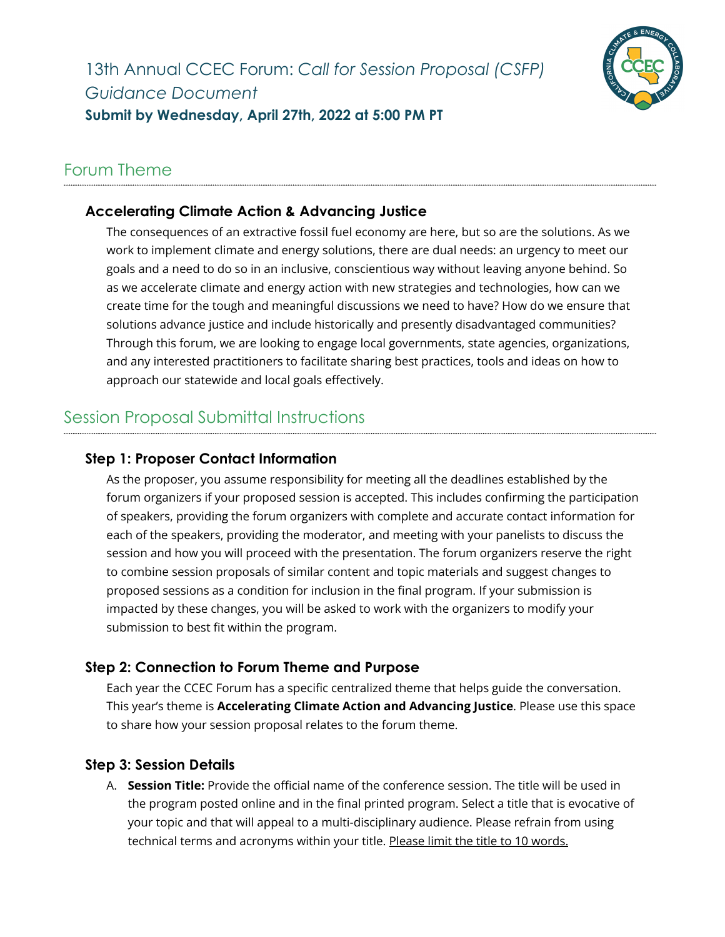

### Forum Theme

### **Accelerating Climate Action & Advancing Justice**

The consequences of an extractive fossil fuel economy are here, but so are the solutions. As we work to implement climate and energy solutions, there are dual needs: an urgency to meet our goals and a need to do so in an inclusive, conscientious way without leaving anyone behind. So as we accelerate climate and energy action with new strategies and technologies, how can we create time for the tough and meaningful discussions we need to have? How do we ensure that solutions advance justice and include historically and presently disadvantaged communities? Through this forum, we are looking to engage local governments, state agencies, organizations, and any interested practitioners to facilitate sharing best practices, tools and ideas on how to approach our statewide and local goals effectively.

## Session Proposal Submittal Instructions

### **Step 1: Proposer Contact Information**

As the proposer, you assume responsibility for meeting all the deadlines established by the forum organizers if your proposed session is accepted. This includes confirming the participation of speakers, providing the forum organizers with complete and accurate contact information for each of the speakers, providing the moderator, and meeting with your panelists to discuss the session and how you will proceed with the presentation. The forum organizers reserve the right to combine session proposals of similar content and topic materials and suggest changes to proposed sessions as a condition for inclusion in the final program. If your submission is impacted by these changes, you will be asked to work with the organizers to modify your submission to best fit within the program.

#### **Step 2: Connection to Forum Theme and Purpose**

Each year the CCEC Forum has a specific centralized theme that helps guide the conversation. This year's theme is **Accelerating Climate Action and Advancing Justice**. Please use this space to share how your session proposal relates to the forum theme.

#### **Step 3: Session Details**

A. **Session Title:** Provide the official name of the conference session. The title will be used in the program posted online and in the final printed program. Select a title that is evocative of your topic and that will appeal to a multi-disciplinary audience. Please refrain from using technical terms and acronyms within your title. Please limit the title to 10 words.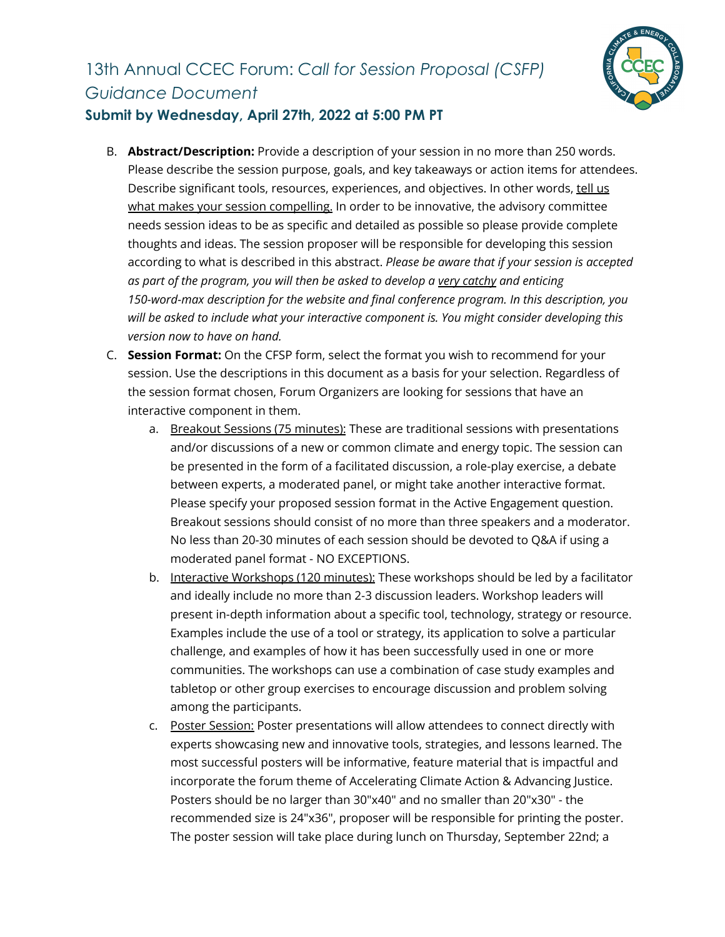

### **Submit by Wednesday, April 27th, 2022 at 5:00 PM PT**

- B. **Abstract/Description:** Provide a description of your session in no more than 250 words. Please describe the session purpose, goals, and key takeaways or action items for attendees. Describe significant tools, resources, experiences, and objectives. In other words, tell us what makes your session compelling. In order to be innovative, the advisory committee needs session ideas to be as specific and detailed as possible so please provide complete thoughts and ideas. The session proposer will be responsible for developing this session according to what is described in this abstract. *Please be aware that if your session is accepted as part of the program, you will then be asked to develop a very catchy and enticing 150-word-max description for the website and final conference program. In this description, you will be asked to include what your interactive component is. You might consider developing this version now to have on hand.*
- C. **Session Format:** On the CFSP form, select the format you wish to recommend for your session. Use the descriptions in this document as a basis for your selection. Regardless of the session format chosen, Forum Organizers are looking for sessions that have an interactive component in them.
	- a. Breakout Sessions (75 minutes): These are traditional sessions with presentations and/or discussions of a new or common climate and energy topic. The session can be presented in the form of a facilitated discussion, a role-play exercise, a debate between experts, a moderated panel, or might take another interactive format. Please specify your proposed session format in the Active Engagement question. Breakout sessions should consist of no more than three speakers and a moderator. No less than 20-30 minutes of each session should be devoted to Q&A if using a moderated panel format - NO EXCEPTIONS.
	- b. Interactive Workshops (120 minutes): These workshops should be led by a facilitator and ideally include no more than 2-3 discussion leaders. Workshop leaders will present in-depth information about a specific tool, technology, strategy or resource. Examples include the use of a tool or strategy, its application to solve a particular challenge, and examples of how it has been successfully used in one or more communities. The workshops can use a combination of case study examples and tabletop or other group exercises to encourage discussion and problem solving among the participants.
	- c. Poster Session: Poster presentations will allow attendees to connect directly with experts showcasing new and innovative tools, strategies, and lessons learned. The most successful posters will be informative, feature material that is impactful and incorporate the forum theme of Accelerating Climate Action & Advancing Justice. Posters should be no larger than 30"x40" and no smaller than 20"x30" - the recommended size is 24"x36", proposer will be responsible for printing the poster. The poster session will take place during lunch on Thursday, September 22nd; a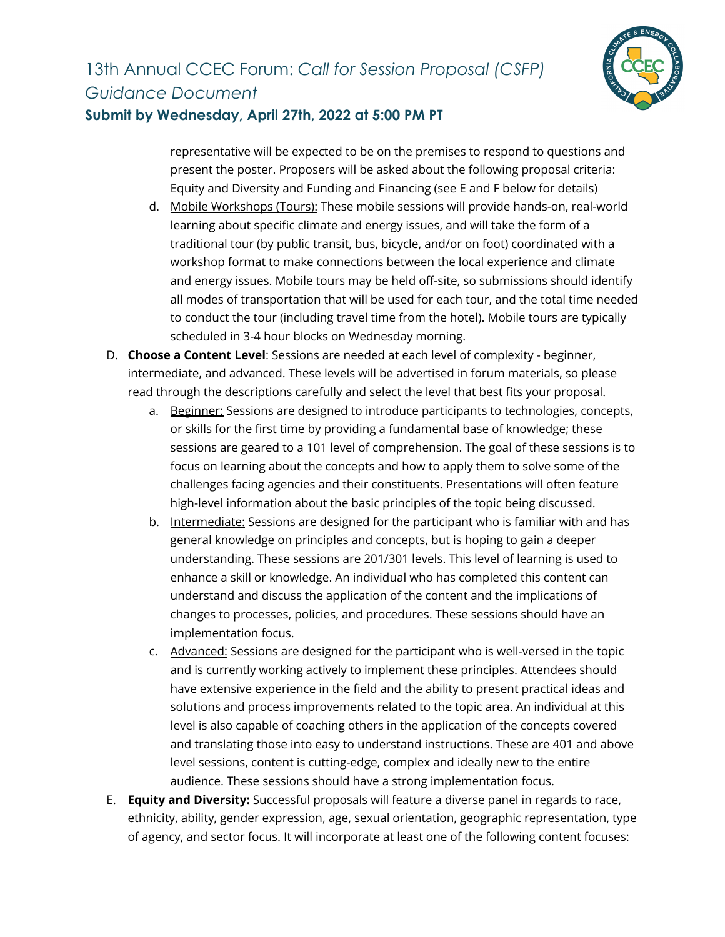

#### **Submit by Wednesday, April 27th, 2022 at 5:00 PM PT**

representative will be expected to be on the premises to respond to questions and present the poster. Proposers will be asked about the following proposal criteria: Equity and Diversity and Funding and Financing (see E and F below for details)

- d. Mobile Workshops (Tours): These mobile sessions will provide hands-on, real-world learning about specific climate and energy issues, and will take the form of a traditional tour (by public transit, bus, bicycle, and/or on foot) coordinated with a workshop format to make connections between the local experience and climate and energy issues. Mobile tours may be held off-site, so submissions should identify all modes of transportation that will be used for each tour, and the total time needed to conduct the tour (including travel time from the hotel). Mobile tours are typically scheduled in 3-4 hour blocks on Wednesday morning.
- D. **Choose a Content Level**: Sessions are needed at each level of complexity beginner, intermediate, and advanced. These levels will be advertised in forum materials, so please read through the descriptions carefully and select the level that best fits your proposal.
	- a. Beginner: Sessions are designed to introduce participants to technologies, concepts, or skills for the first time by providing a fundamental base of knowledge; these sessions are geared to a 101 level of comprehension. The goal of these sessions is to focus on learning about the concepts and how to apply them to solve some of the challenges facing agencies and their constituents. Presentations will often feature high-level information about the basic principles of the topic being discussed.
	- b. Intermediate: Sessions are designed for the participant who is familiar with and has general knowledge on principles and concepts, but is hoping to gain a deeper understanding. These sessions are 201/301 levels. This level of learning is used to enhance a skill or knowledge. An individual who has completed this content can understand and discuss the application of the content and the implications of changes to processes, policies, and procedures. These sessions should have an implementation focus.
	- c. Advanced: Sessions are designed for the participant who is well-versed in the topic and is currently working actively to implement these principles. Attendees should have extensive experience in the field and the ability to present practical ideas and solutions and process improvements related to the topic area. An individual at this level is also capable of coaching others in the application of the concepts covered and translating those into easy to understand instructions. These are 401 and above level sessions, content is cutting-edge, complex and ideally new to the entire audience. These sessions should have a strong implementation focus.
- E. **Equity and Diversity:** Successful proposals will feature a diverse panel in regards to race, ethnicity, ability, gender expression, age, sexual orientation, geographic representation, type of agency, and sector focus. It will incorporate at least one of the following content focuses: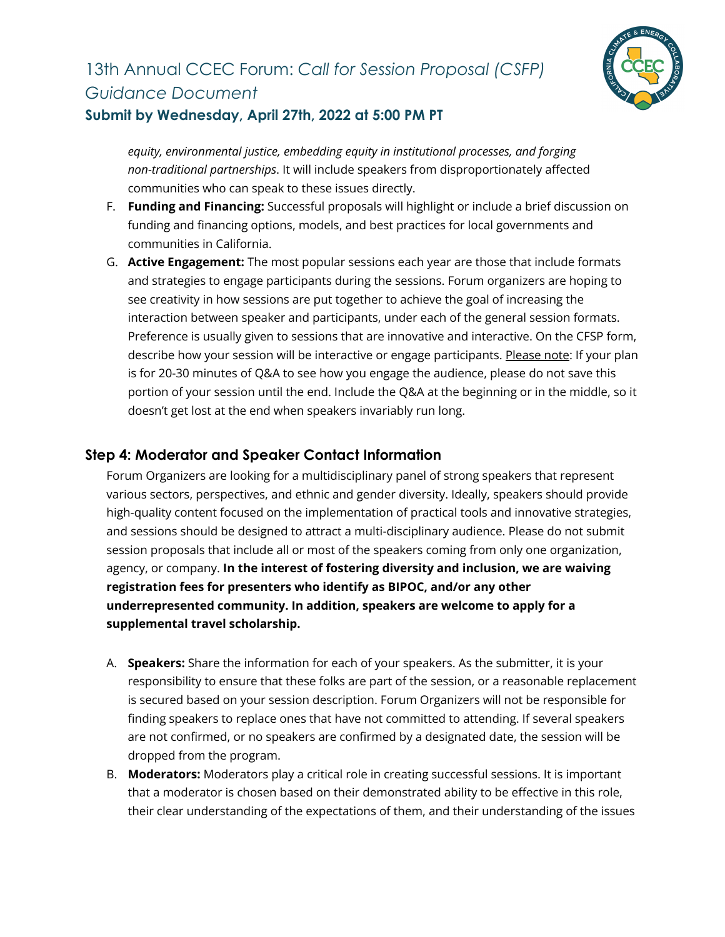

### **Submit by Wednesday, April 27th, 2022 at 5:00 PM PT**

*equity, environmental justice, embedding equity in institutional processes, and forging non-traditional partnerships*. It will include speakers from disproportionately affected communities who can speak to these issues directly.

- F. **Funding and Financing:** Successful proposals will highlight or include a brief discussion on funding and financing options, models, and best practices for local governments and communities in California.
- G. **Active Engagement:** The most popular sessions each year are those that include formats and strategies to engage participants during the sessions. Forum organizers are hoping to see creativity in how sessions are put together to achieve the goal of increasing the interaction between speaker and participants, under each of the general session formats. Preference is usually given to sessions that are innovative and interactive. On the CFSP form, describe how your session will be interactive or engage participants. Please note: If your plan is for 20-30 minutes of Q&A to see how you engage the audience, please do not save this portion of your session until the end. Include the Q&A at the beginning or in the middle, so it doesn't get lost at the end when speakers invariably run long.

### **Step 4: Moderator and Speaker Contact Information**

Forum Organizers are looking for a multidisciplinary panel of strong speakers that represent various sectors, perspectives, and ethnic and gender diversity. Ideally, speakers should provide high-quality content focused on the implementation of practical tools and innovative strategies, and sessions should be designed to attract a multi-disciplinary audience. Please do not submit session proposals that include all or most of the speakers coming from only one organization, agency, or company. **In the interest of fostering diversity and inclusion, we are waiving registration fees for presenters who identify as BIPOC, and/or any other underrepresented community. In addition, speakers are welcome to apply for a supplemental travel scholarship.**

- A. **Speakers:** Share the information for each of your speakers. As the submitter, it is your responsibility to ensure that these folks are part of the session, or a reasonable replacement is secured based on your session description. Forum Organizers will not be responsible for finding speakers to replace ones that have not committed to attending. If several speakers are not confirmed, or no speakers are confirmed by a designated date, the session will be dropped from the program.
- B. **Moderators:** Moderators play a critical role in creating successful sessions. It is important that a moderator is chosen based on their demonstrated ability to be effective in this role, their clear understanding of the expectations of them, and their understanding of the issues